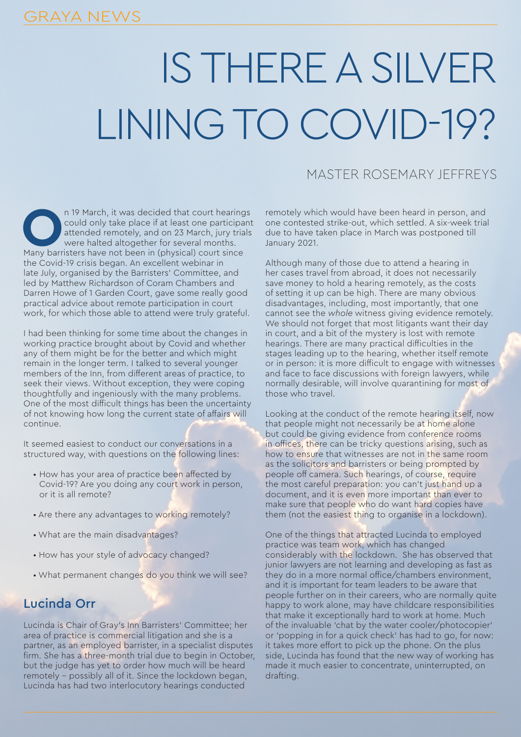# IS THERE A SILVER LINING TO COVID-19?

## MASTER ROSEMARY JEFFREYS

**OCOLLAN 19 March, it was decided that court hearings could only take place if at least one participant attended remotely, and on 23 March, jury trials were halted altogether for several months.<br>Many barristers have not be** could only take place if at least one participant attended remotely, and on 23 March, jury trials were halted altogether for several months. Many barristers have not been in (physical) court since the Covid-19 crisis began. An excellent webinar in late July, organised by the Barristers' Committee, and led by Matthew Richardson of Coram Chambers and Darren Howe of 1 Garden Court, gave some really good practical advice about remote participation in court work, for which those able to attend were truly grateful.

I had been thinking for some time about the changes in working practice brought about by Covid and whether any of them might be for the better and which might remain in the longer term. I talked to several younger members of the Inn, from different areas of practice, to seek their views. Without exception, they were coping thoughtfully and ingeniously with the many problems. One of the most difficult things has been the uncertainty of not knowing how long the current state of affairs will continue.

It seemed easiest to conduct our conversations in a structured way, with questions on the following lines:

- How has your area of practice been affected by Covid-19? Are you doing any court work in person, or it is all remote?
- Are there any advantages to working remotely?
- What are the main disadvantages?
- How has your style of advocacy changed?
- What permanent changes do you think we will see?

#### Lucinda Orr

Lucinda is Chair of Gray's Inn Barristers' Committee; her area of practice is commercial litigation and she is a partner, as an employed barrister, in a specialist disputes firm. She has a three-month trial due to begin in October, but the judge has yet to order how much will be heard remotely – possibly all of it. Since the lockdown began, Lucinda has had two interlocutory hearings conducted

remotely which would have been heard in person, and one contested strike-out, which settled. A six-week trial due to have taken place in March was postponed till January 2021.

Although many of those due to attend a hearing in her cases travel from abroad, it does not necessarily save money to hold a hearing remotely, as the costs of setting it up can be high. There are many obvious disadvantages, including, most importantly, that one cannot see the *whole* witness giving evidence remotely. We should not forget that most litigants want their day in court, and a bit of the mystery is lost with remote hearings. There are many practical difficulties in the stages leading up to the hearing, whether itself remote or in person: it is more difficult to engage with witnesses and face to face discussions with foreign lawyers, while normally desirable, will involve quarantining for most of those who travel.

Looking at the conduct of the remote hearing itself, now that people might not necessarily be at home alone but could be giving evidence from conference rooms in offices, there can be tricky questions arising, such as how to ensure that witnesses are not in the same room as the solicitors and barristers or being prompted by people off camera. Such hearings, of course, require the most careful preparation: you can't just hand up a document, and it is even more important than ever to make sure that people who do want hard copies have them (not the easiest thing to organise in a lockdown).

One of the things that attracted Lucinda to employed practice was team work, which has changed considerably with the lockdown. She has observed that junior lawyers are not learning and developing as fast as they do in a more normal office/chambers environment, and it is important for team leaders to be aware that people further on in their careers, who are normally quite happy to work alone, may have childcare responsibilities that make it exceptionally hard to work at home. Much of the invaluable 'chat by the water cooler/photocopier' or 'popping in for a quick check' has had to go, for now: it takes more effort to pick up the phone. On the plus side, Lucinda has found that the new way of working has made it much easier to concentrate, uninterrupted, on drafting.